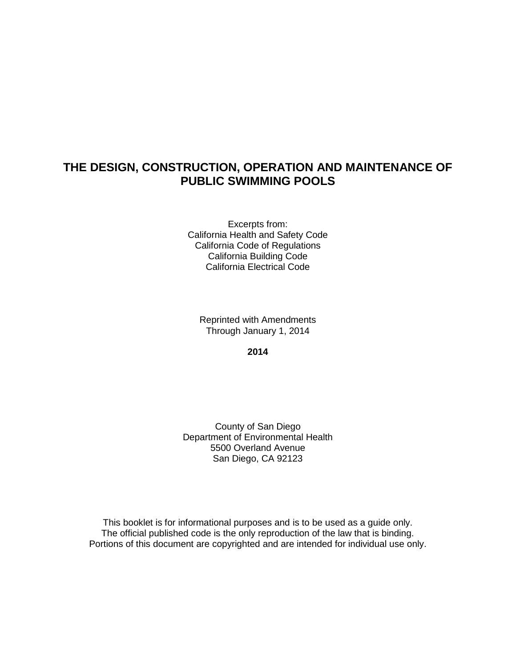# **THE DESIGN, CONSTRUCTION, OPERATION AND MAINTENANCE OF PUBLIC SWIMMING POOLS**

Excerpts from: California Health and Safety Code California Code of Regulations California Building Code California Electrical Code

Reprinted with Amendments Through January 1, 2014

**2014**

County of San Diego Department of Environmental Health 5500 Overland Avenue San Diego, CA 92123

This booklet is for informational purposes and is to be used as a guide only. The official published code is the only reproduction of the law that is binding. Portions of this document are copyrighted and are intended for individual use only.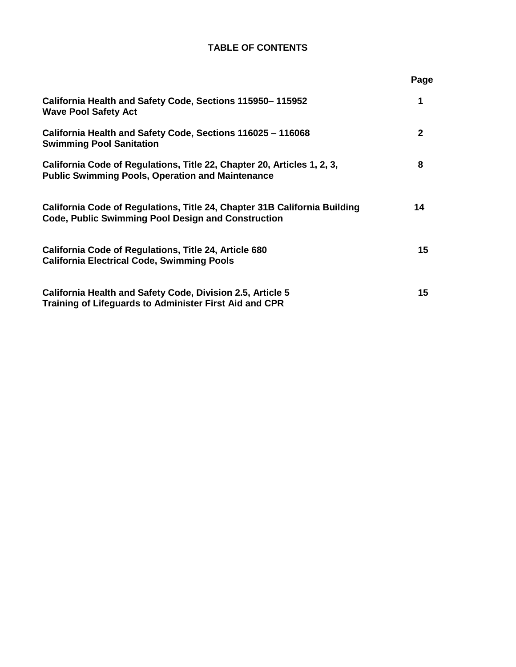# **TABLE OF CONTENTS**

|                                                                                                                                    | . ~უ         |
|------------------------------------------------------------------------------------------------------------------------------------|--------------|
| California Health and Safety Code, Sections 115950-115952<br><b>Wave Pool Safety Act</b>                                           | 1            |
| California Health and Safety Code, Sections 116025 - 116068<br><b>Swimming Pool Sanitation</b>                                     | $\mathbf{2}$ |
| California Code of Regulations, Title 22, Chapter 20, Articles 1, 2, 3,<br><b>Public Swimming Pools, Operation and Maintenance</b> | 8            |
| California Code of Regulations, Title 24, Chapter 31B California Building<br>Code, Public Swimming Pool Design and Construction    | 14           |
| California Code of Regulations, Title 24, Article 680<br><b>California Electrical Code, Swimming Pools</b>                         | 15           |
| California Health and Safety Code, Division 2.5, Article 5<br>Training of Lifeguards to Administer First Aid and CPR               | 15           |

# **Page**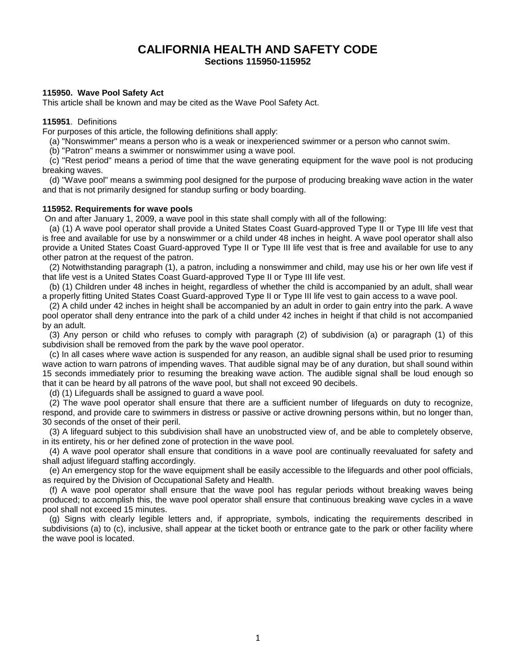# **CALIFORNIA HEALTH AND SAFETY CODE Sections 115950-115952**

# **115950. Wave Pool Safety Act**

This article shall be known and may be cited as the Wave Pool Safety Act.

### **115951**. Definitions

For purposes of this article, the following definitions shall apply:

(a) "Nonswimmer" means a person who is a weak or inexperienced swimmer or a person who cannot swim.

(b) "Patron" means a swimmer or nonswimmer using a wave pool.

 (c) "Rest period" means a period of time that the wave generating equipment for the wave pool is not producing breaking waves.

 (d) "Wave pool" means a swimming pool designed for the purpose of producing breaking wave action in the water and that is not primarily designed for standup surfing or body boarding.

# **115952. Requirements for wave pools**

On and after January 1, 2009, a wave pool in this state shall comply with all of the following:

 (a) (1) A wave pool operator shall provide a United States Coast Guard-approved Type II or Type III life vest that is free and available for use by a nonswimmer or a child under 48 inches in height. A wave pool operator shall also provide a United States Coast Guard-approved Type II or Type III life vest that is free and available for use to any other patron at the request of the patron.

 (2) Notwithstanding paragraph (1), a patron, including a nonswimmer and child, may use his or her own life vest if that life vest is a United States Coast Guard-approved Type II or Type III life vest.

 (b) (1) Children under 48 inches in height, regardless of whether the child is accompanied by an adult, shall wear a properly fitting United States Coast Guard-approved Type II or Type III life vest to gain access to a wave pool.

 (2) A child under 42 inches in height shall be accompanied by an adult in order to gain entry into the park. A wave pool operator shall deny entrance into the park of a child under 42 inches in height if that child is not accompanied by an adult.

 (3) Any person or child who refuses to comply with paragraph (2) of subdivision (a) or paragraph (1) of this subdivision shall be removed from the park by the wave pool operator.

 (c) In all cases where wave action is suspended for any reason, an audible signal shall be used prior to resuming wave action to warn patrons of impending waves. That audible signal may be of any duration, but shall sound within 15 seconds immediately prior to resuming the breaking wave action. The audible signal shall be loud enough so that it can be heard by all patrons of the wave pool, but shall not exceed 90 decibels.

(d) (1) Lifeguards shall be assigned to guard a wave pool.

 (2) The wave pool operator shall ensure that there are a sufficient number of lifeguards on duty to recognize, respond, and provide care to swimmers in distress or passive or active drowning persons within, but no longer than, 30 seconds of the onset of their peril.

 (3) A lifeguard subject to this subdivision shall have an unobstructed view of, and be able to completely observe, in its entirety, his or her defined zone of protection in the wave pool.

 (4) A wave pool operator shall ensure that conditions in a wave pool are continually reevaluated for safety and shall adjust lifeguard staffing accordingly.

 (e) An emergency stop for the wave equipment shall be easily accessible to the lifeguards and other pool officials, as required by the Division of Occupational Safety and Health.

 (f) A wave pool operator shall ensure that the wave pool has regular periods without breaking waves being produced; to accomplish this, the wave pool operator shall ensure that continuous breaking wave cycles in a wave pool shall not exceed 15 minutes.

 (g) Signs with clearly legible letters and, if appropriate, symbols, indicating the requirements described in subdivisions (a) to (c), inclusive, shall appear at the ticket booth or entrance gate to the park or other facility where the wave pool is located.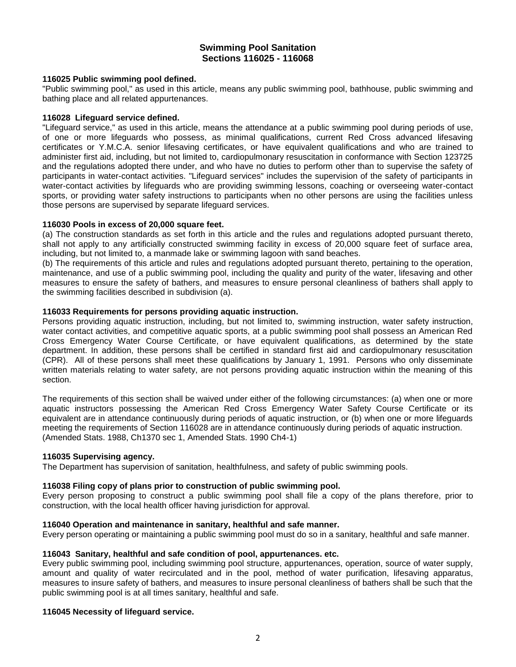# **Swimming Pool Sanitation Sections 116025 - 116068**

# **116025 Public swimming pool defined.**

"Public swimming pool," as used in this article, means any public swimming pool, bathhouse, public swimming and bathing place and all related appurtenances.

### **116028 Lifeguard service defined.**

"Lifeguard service," as used in this article, means the attendance at a public swimming pool during periods of use, of one or more lifeguards who possess, as minimal qualifications, current Red Cross advanced lifesaving certificates or Y.M.C.A. senior lifesaving certificates, or have equivalent qualifications and who are trained to administer first aid, including, but not limited to, cardiopulmonary resuscitation in conformance with Section 123725 and the regulations adopted there under, and who have no duties to perform other than to supervise the safety of participants in water-contact activities. "Lifeguard services" includes the supervision of the safety of participants in water-contact activities by lifeguards who are providing swimming lessons, coaching or overseeing water-contact sports, or providing water safety instructions to participants when no other persons are using the facilities unless those persons are supervised by separate lifeguard services.

### **116030 Pools in excess of 20,000 square feet.**

(a) The construction standards as set forth in this article and the rules and regulations adopted pursuant thereto, shall not apply to any artificially constructed swimming facility in excess of 20,000 square feet of surface area, including, but not limited to, a manmade lake or swimming lagoon with sand beaches.

(b) The requirements of this article and rules and regulations adopted pursuant thereto, pertaining to the operation, maintenance, and use of a public swimming pool, including the quality and purity of the water, lifesaving and other measures to ensure the safety of bathers, and measures to ensure personal cleanliness of bathers shall apply to the swimming facilities described in subdivision (a).

# **116033 Requirements for persons providing aquatic instruction.**

Persons providing aquatic instruction, including, but not limited to, swimming instruction, water safety instruction, water contact activities, and competitive aquatic sports, at a public swimming pool shall possess an American Red Cross Emergency Water Course Certificate, or have equivalent qualifications, as determined by the state department. In addition, these persons shall be certified in standard first aid and cardiopulmonary resuscitation (CPR). All of these persons shall meet these qualifications by January 1, 1991. Persons who only disseminate written materials relating to water safety, are not persons providing aquatic instruction within the meaning of this section.

The requirements of this section shall be waived under either of the following circumstances: (a) when one or more aquatic instructors possessing the American Red Cross Emergency Water Safety Course Certificate or its equivalent are in attendance continuously during periods of aquatic instruction, or (b) when one or more lifeguards meeting the requirements of Section 116028 are in attendance continuously during periods of aquatic instruction. (Amended Stats. 1988, Ch1370 sec 1, Amended Stats. 1990 Ch4-1)

#### **116035 Supervising agency.**

The Department has supervision of sanitation, healthfulness, and safety of public swimming pools.

# **116038 Filing copy of plans prior to construction of public swimming pool.**

Every person proposing to construct a public swimming pool shall file a copy of the plans therefore, prior to construction, with the local health officer having jurisdiction for approval.

#### **116040 Operation and maintenance in sanitary, healthful and safe manner.**

Every person operating or maintaining a public swimming pool must do so in a sanitary, healthful and safe manner.

# **116043 Sanitary, healthful and safe condition of pool, appurtenances. etc.**

Every public swimming pool, including swimming pool structure, appurtenances, operation, source of water supply, amount and quality of water recirculated and in the pool, method of water purification, lifesaving apparatus, measures to insure safety of bathers, and measures to insure personal cleanliness of bathers shall be such that the public swimming pool is at all times sanitary, healthful and safe.

## **116045 Necessity of lifeguard service.**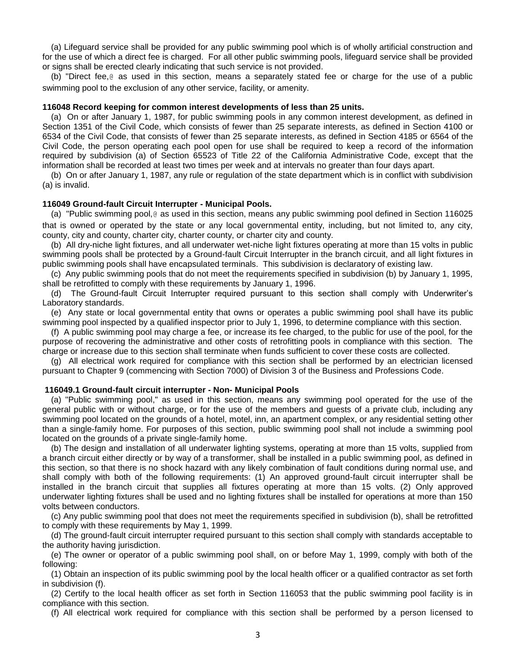(a) Lifeguard service shall be provided for any public swimming pool which is of wholly artificial construction and for the use of which a direct fee is charged. For all other public swimming pools, lifeguard service shall be provided or signs shall be erected clearly indicating that such service is not provided.

(b) "Direct fee,@ as used in this section, means a separately stated fee or charge for the use of a public swimming pool to the exclusion of any other service, facility, or amenity.

#### **116048 Record keeping for common interest developments of less than 25 units.**

(a) On or after January 1, 1987, for public swimming pools in any common interest development, as defined in Section 1351 of the Civil Code, which consists of fewer than 25 separate interests, as defined in Section 4100 or 6534 of the Civil Code, that consists of fewer than 25 separate interests, as defined in Section 4185 or 6564 of the Civil Code, the person operating each pool open for use shall be required to keep a record of the information required by subdivision (a) of Section 65523 of Title 22 of the California Administrative Code, except that the information shall be recorded at least two times per week and at intervals no greater than four days apart.

(b) On or after January 1, 1987, any rule or regulation of the state department which is in conflict with subdivision (a) is invalid.

#### **116049 Ground-fault Circuit Interrupter - Municipal Pools.**

(a) "Public swimming pool,@ as used in this section, means any public swimming pool defined in Section 116025 that is owned or operated by the state or any local governmental entity, including, but not limited to, any city, county, city and county, charter city, charter county, or charter city and county.

(b) All dry-niche light fixtures, and all underwater wet-niche light fixtures operating at more than 15 volts in public swimming pools shall be protected by a Ground-fault Circuit Interrupter in the branch circuit, and all light fixtures in public swimming pools shall have encapsulated terminals. This subdivision is declaratory of existing law.

(c) Any public swimming pools that do not meet the requirements specified in subdivision (b) by January 1, 1995, shall be retrofitted to comply with these requirements by January 1, 1996.

(d) The Ground-fault Circuit Interrupter required pursuant to this section shall comply with Underwriter's Laboratory standards.

(e) Any state or local governmental entity that owns or operates a public swimming pool shall have its public swimming pool inspected by a qualified inspector prior to July 1, 1996, to determine compliance with this section.

(f) A public swimming pool may charge a fee, or increase its fee charged, to the public for use of the pool, for the purpose of recovering the administrative and other costs of retrofitting pools in compliance with this section. The charge or increase due to this section shall terminate when funds sufficient to cover these costs are collected.

(g) All electrical work required for compliance with this section shall be performed by an electrician licensed pursuant to Chapter 9 (commencing with Section 7000) of Division 3 of the Business and Professions Code.

### **116049.1 Ground-fault circuit interrupter - Non- Municipal Pools**

(a) "Public swimming pool," as used in this section, means any swimming pool operated for the use of the general public with or without charge, or for the use of the members and guests of a private club, including any swimming pool located on the grounds of a hotel, motel, inn, an apartment complex, or any residential setting other than a single-family home. For purposes of this section, public swimming pool shall not include a swimming pool located on the grounds of a private single-family home.

(b) The design and installation of all underwater lighting systems, operating at more than 15 volts, supplied from a branch circuit either directly or by way of a transformer, shall be installed in a public swimming pool, as defined in this section, so that there is no shock hazard with any likely combination of fault conditions during normal use, and shall comply with both of the following requirements: (1) An approved ground-fault circuit interrupter shall be installed in the branch circuit that supplies all fixtures operating at more than 15 volts. (2) Only approved underwater lighting fixtures shall be used and no lighting fixtures shall be installed for operations at more than 150 volts between conductors.

(c) Any public swimming pool that does not meet the requirements specified in subdivision (b), shall be retrofitted to comply with these requirements by May 1, 1999.

(d) The ground-fault circuit interrupter required pursuant to this section shall comply with standards acceptable to the authority having jurisdiction.

(e) The owner or operator of a public swimming pool shall, on or before May 1, 1999, comply with both of the following:

(1) Obtain an inspection of its public swimming pool by the local health officer or a qualified contractor as set forth in subdivision (f).

(2) Certify to the local health officer as set forth in Section 116053 that the public swimming pool facility is in compliance with this section.

(f) All electrical work required for compliance with this section shall be performed by a person licensed to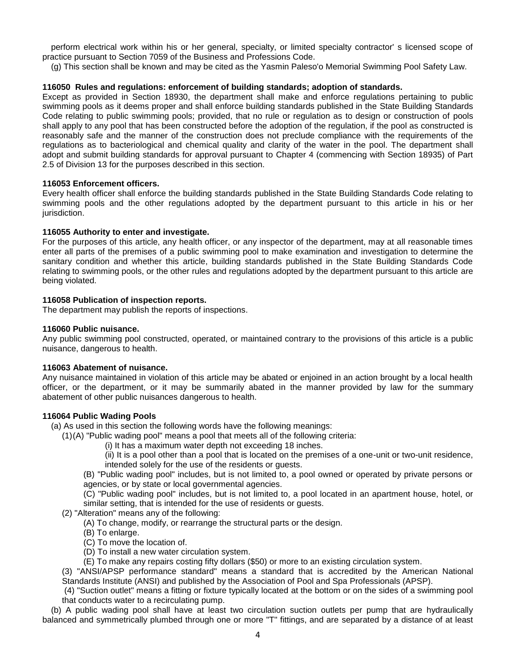perform electrical work within his or her general, specialty, or limited specialty contractor' s licensed scope of practice pursuant to Section 7059 of the Business and Professions Code.

(g) This section shall be known and may be cited as the Yasmin Paleso'o Memorial Swimming Pool Safety Law.

# **116050 Rules and regulations: enforcement of building standards; adoption of standards.**

Except as provided in Section 18930, the department shall make and enforce regulations pertaining to public swimming pools as it deems proper and shall enforce building standards published in the State Building Standards Code relating to public swimming pools; provided, that no rule or regulation as to design or construction of pools shall apply to any pool that has been constructed before the adoption of the regulation, if the pool as constructed is reasonably safe and the manner of the construction does not preclude compliance with the requirements of the regulations as to bacteriological and chemical quality and clarity of the water in the pool. The department shall adopt and submit building standards for approval pursuant to Chapter 4 (commencing with Section 18935) of Part 2.5 of Division 13 for the purposes described in this section.

# **116053 Enforcement officers.**

Every health officer shall enforce the building standards published in the State Building Standards Code relating to swimming pools and the other regulations adopted by the department pursuant to this article in his or her jurisdiction.

# **116055 Authority to enter and investigate.**

For the purposes of this article, any health officer, or any inspector of the department, may at all reasonable times enter all parts of the premises of a public swimming pool to make examination and investigation to determine the sanitary condition and whether this article, building standards published in the State Building Standards Code relating to swimming pools, or the other rules and regulations adopted by the department pursuant to this article are being violated.

# **116058 Publication of inspection reports.**

The department may publish the reports of inspections.

# **116060 Public nuisance.**

Any public swimming pool constructed, operated, or maintained contrary to the provisions of this article is a public nuisance, dangerous to health.

# **116063 Abatement of nuisance.**

Any nuisance maintained in violation of this article may be abated or enjoined in an action brought by a local health officer, or the department, or it may be summarily abated in the manner provided by law for the summary abatement of other public nuisances dangerous to health.

# **116064 Public Wading Pools**

(a) As used in this section the following words have the following meanings:

- (1)(A) "Public wading pool" means a pool that meets all of the following criteria:
	- (i) It has a maximum water depth not exceeding 18 inches.
	- (ii) It is a pool other than a pool that is located on the premises of a one-unit or two-unit residence, intended solely for the use of the residents or guests.
	- (B) "Public wading pool" includes, but is not limited to, a pool owned or operated by private persons or agencies, or by state or local governmental agencies.
	- (C) "Public wading pool" includes, but is not limited to, a pool located in an apartment house, hotel, or similar setting, that is intended for the use of residents or guests.
- (2) "Alteration" means any of the following:
	- (A) To change, modify, or rearrange the structural parts or the design.
	- (B) To enlarge.
	- (C) To move the location of.
	- (D) To install a new water circulation system.
	- (E) To make any repairs costing fifty dollars (\$50) or more to an existing circulation system.

(3) "ANSI/APSP performance standard" means a standard that is accredited by the American National Standards Institute (ANSI) and published by the Association of Pool and Spa Professionals (APSP).

(4) "Suction outlet" means a fitting or fixture typically located at the bottom or on the sides of a swimming pool that conducts water to a recirculating pump.

(b) A public wading pool shall have at least two circulation suction outlets per pump that are hydraulically balanced and symmetrically plumbed through one or more "T" fittings, and are separated by a distance of at least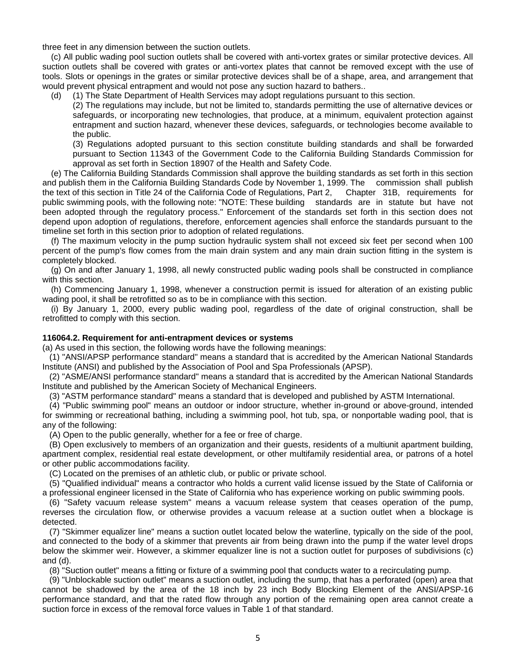three feet in any dimension between the suction outlets.

(c) All public wading pool suction outlets shall be covered with anti-vortex grates or similar protective devices. All suction outlets shall be covered with grates or anti-vortex plates that cannot be removed except with the use of tools. Slots or openings in the grates or similar protective devices shall be of a shape, area, and arrangement that would prevent physical entrapment and would not pose any suction hazard to bathers..

- (d) (1) The State Department of Health Services may adopt regulations pursuant to this section.
	- (2) The regulations may include, but not be limited to, standards permitting the use of alternative devices or safeguards, or incorporating new technologies, that produce, at a minimum, equivalent protection against entrapment and suction hazard, whenever these devices, safeguards, or technologies become available to the public.

(3) Regulations adopted pursuant to this section constitute building standards and shall be forwarded pursuant to Section 11343 of the Government Code to the California Building Standards Commission for approval as set forth in Section 18907 of the Health and Safety Code.

(e) The California Building Standards Commission shall approve the building standards as set forth in this section and publish them in the California Building Standards Code by November 1, 1999. The commission shall publish the text of this section in Title 24 of the California Code of Regulations, Part 2, Chapter 31B, requirements for public swimming pools, with the following note: "NOTE: These building standards are in statute but have not been adopted through the regulatory process." Enforcement of the standards set forth in this section does not depend upon adoption of regulations, therefore, enforcement agencies shall enforce the standards pursuant to the timeline set forth in this section prior to adoption of related regulations.

(f) The maximum velocity in the pump suction hydraulic system shall not exceed six feet per second when 100 percent of the pump's flow comes from the main drain system and any main drain suction fitting in the system is completely blocked.

(g) On and after January 1, 1998, all newly constructed public wading pools shall be constructed in compliance with this section.

(h) Commencing January 1, 1998, whenever a construction permit is issued for alteration of an existing public wading pool, it shall be retrofitted so as to be in compliance with this section.

(i) By January 1, 2000, every public wading pool, regardless of the date of original construction, shall be retrofitted to comply with this section.

# **116064.2. Requirement for anti-entrapment devices or systems**

(a) As used in this section, the following words have the following meanings:

 (1) "ANSI/APSP performance standard" means a standard that is accredited by the American National Standards Institute (ANSI) and published by the Association of Pool and Spa Professionals (APSP).

 (2) "ASME/ANSI performance standard" means a standard that is accredited by the American National Standards Institute and published by the American Society of Mechanical Engineers.

(3) "ASTM performance standard" means a standard that is developed and published by ASTM International.

 (4) "Public swimming pool" means an outdoor or indoor structure, whether in-ground or above-ground, intended for swimming or recreational bathing, including a swimming pool, hot tub, spa, or nonportable wading pool, that is any of the following:

(A) Open to the public generally, whether for a fee or free of charge.

 (B) Open exclusively to members of an organization and their guests, residents of a multiunit apartment building, apartment complex, residential real estate development, or other multifamily residential area, or patrons of a hotel or other public accommodations facility.

(C) Located on the premises of an athletic club, or public or private school.

 (5) "Qualified individual" means a contractor who holds a current valid license issued by the State of California or a professional engineer licensed in the State of California who has experience working on public swimming pools.

 (6) "Safety vacuum release system" means a vacuum release system that ceases operation of the pump, reverses the circulation flow, or otherwise provides a vacuum release at a suction outlet when a blockage is detected.

 (7) "Skimmer equalizer line" means a suction outlet located below the waterline, typically on the side of the pool, and connected to the body of a skimmer that prevents air from being drawn into the pump if the water level drops below the skimmer weir. However, a skimmer equalizer line is not a suction outlet for purposes of subdivisions (c) and (d).

(8) "Suction outlet" means a fitting or fixture of a swimming pool that conducts water to a recirculating pump.

 (9) "Unblockable suction outlet" means a suction outlet, including the sump, that has a perforated (open) area that cannot be shadowed by the area of the 18 inch by 23 inch Body Blocking Element of the ANSI/APSP-16 performance standard, and that the rated flow through any portion of the remaining open area cannot create a suction force in excess of the removal force values in Table 1 of that standard.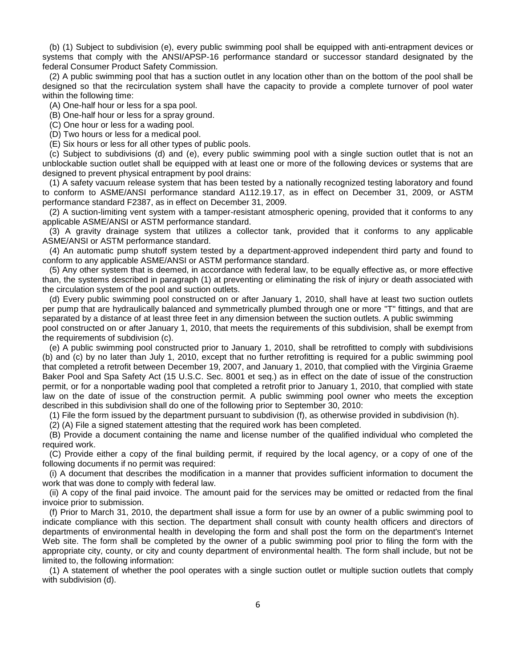(b) (1) Subject to subdivision (e), every public swimming pool shall be equipped with anti-entrapment devices or systems that comply with the ANSI/APSP-16 performance standard or successor standard designated by the federal Consumer Product Safety Commission.

 (2) A public swimming pool that has a suction outlet in any location other than on the bottom of the pool shall be designed so that the recirculation system shall have the capacity to provide a complete turnover of pool water within the following time:

(A) One-half hour or less for a spa pool.

(B) One-half hour or less for a spray ground.

(C) One hour or less for a wading pool.

(D) Two hours or less for a medical pool.

(E) Six hours or less for all other types of public pools.

 (c) Subject to subdivisions (d) and (e), every public swimming pool with a single suction outlet that is not an unblockable suction outlet shall be equipped with at least one or more of the following devices or systems that are designed to prevent physical entrapment by pool drains:

 (1) A safety vacuum release system that has been tested by a nationally recognized testing laboratory and found to conform to ASME/ANSI performance standard A112.19.17, as in effect on December 31, 2009, or ASTM performance standard F2387, as in effect on December 31, 2009.

 (2) A suction-limiting vent system with a tamper-resistant atmospheric opening, provided that it conforms to any applicable ASME/ANSI or ASTM performance standard.

 (3) A gravity drainage system that utilizes a collector tank, provided that it conforms to any applicable ASME/ANSI or ASTM performance standard.

 (4) An automatic pump shutoff system tested by a department-approved independent third party and found to conform to any applicable ASME/ANSI or ASTM performance standard.

 (5) Any other system that is deemed, in accordance with federal law, to be equally effective as, or more effective than, the systems described in paragraph (1) at preventing or eliminating the risk of injury or death associated with the circulation system of the pool and suction outlets.

 (d) Every public swimming pool constructed on or after January 1, 2010, shall have at least two suction outlets per pump that are hydraulically balanced and symmetrically plumbed through one or more "T" fittings, and that are separated by a distance of at least three feet in any dimension between the suction outlets. A public swimming pool constructed on or after January 1, 2010, that meets the requirements of this subdivision, shall be exempt from

the requirements of subdivision (c). (e) A public swimming pool constructed prior to January 1, 2010, shall be retrofitted to comply with subdivisions (b) and (c) by no later than July 1, 2010, except that no further retrofitting is required for a public swimming pool that completed a retrofit between December 19, 2007, and January 1, 2010, that complied with the Virginia Graeme Baker Pool and Spa Safety Act (15 U.S.C. Sec. 8001 et seq.) as in effect on the date of issue of the construction permit, or for a nonportable wading pool that completed a retrofit prior to January 1, 2010, that complied with state law on the date of issue of the construction permit. A public swimming pool owner who meets the exception described in this subdivision shall do one of the following prior to September 30, 2010:

(1) File the form issued by the department pursuant to subdivision (f), as otherwise provided in subdivision (h).

(2) (A) File a signed statement attesting that the required work has been completed.

 (B) Provide a document containing the name and license number of the qualified individual who completed the required work.

 (C) Provide either a copy of the final building permit, if required by the local agency, or a copy of one of the following documents if no permit was required:

 (i) A document that describes the modification in a manner that provides sufficient information to document the work that was done to comply with federal law.

 (ii) A copy of the final paid invoice. The amount paid for the services may be omitted or redacted from the final invoice prior to submission.

 (f) Prior to March 31, 2010, the department shall issue a form for use by an owner of a public swimming pool to indicate compliance with this section. The department shall consult with county health officers and directors of departments of environmental health in developing the form and shall post the form on the department's Internet Web site. The form shall be completed by the owner of a public swimming pool prior to filing the form with the appropriate city, county, or city and county department of environmental health. The form shall include, but not be limited to, the following information:

 (1) A statement of whether the pool operates with a single suction outlet or multiple suction outlets that comply with subdivision (d).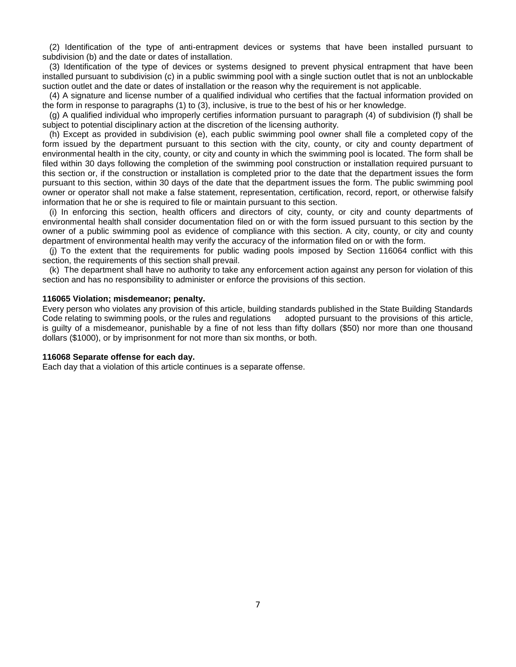(2) Identification of the type of anti-entrapment devices or systems that have been installed pursuant to subdivision (b) and the date or dates of installation.

 (3) Identification of the type of devices or systems designed to prevent physical entrapment that have been installed pursuant to subdivision (c) in a public swimming pool with a single suction outlet that is not an unblockable suction outlet and the date or dates of installation or the reason why the requirement is not applicable.

 (4) A signature and license number of a qualified individual who certifies that the factual information provided on the form in response to paragraphs (1) to (3), inclusive, is true to the best of his or her knowledge.

 (g) A qualified individual who improperly certifies information pursuant to paragraph (4) of subdivision (f) shall be subject to potential disciplinary action at the discretion of the licensing authority.

 (h) Except as provided in subdivision (e), each public swimming pool owner shall file a completed copy of the form issued by the department pursuant to this section with the city, county, or city and county department of environmental health in the city, county, or city and county in which the swimming pool is located. The form shall be filed within 30 days following the completion of the swimming pool construction or installation required pursuant to this section or, if the construction or installation is completed prior to the date that the department issues the form pursuant to this section, within 30 days of the date that the department issues the form. The public swimming pool owner or operator shall not make a false statement, representation, certification, record, report, or otherwise falsify information that he or she is required to file or maintain pursuant to this section.

 (i) In enforcing this section, health officers and directors of city, county, or city and county departments of environmental health shall consider documentation filed on or with the form issued pursuant to this section by the owner of a public swimming pool as evidence of compliance with this section. A city, county, or city and county department of environmental health may verify the accuracy of the information filed on or with the form.

 (j) To the extent that the requirements for public wading pools imposed by Section 116064 conflict with this section, the requirements of this section shall prevail.

 (k) The department shall have no authority to take any enforcement action against any person for violation of this section and has no responsibility to administer or enforce the provisions of this section.

#### **116065 Violation; misdemeanor; penalty.**

Every person who violates any provision of this article, building standards published in the State Building Standards Code relating to swimming pools, or the rules and regulations adopted pursuant to the provisions of this article, is guilty of a misdemeanor, punishable by a fine of not less than fifty dollars (\$50) nor more than one thousand dollars (\$1000), or by imprisonment for not more than six months, or both.

#### **116068 Separate offense for each day.**

Each day that a violation of this article continues is a separate offense.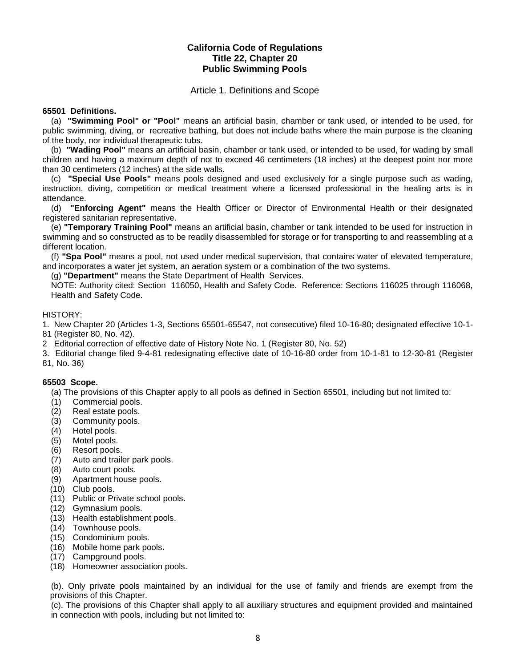# **California Code of Regulations Title 22, Chapter 20 Public Swimming Pools**

Article 1. Definitions and Scope

# **65501 Definitions.**

(a) **"Swimming Pool" or "Pool"** means an artificial basin, chamber or tank used, or intended to be used, for public swimming, diving, or recreative bathing, but does not include baths where the main purpose is the cleaning of the body, nor individual therapeutic tubs.

(b) **"Wading Pool"** means an artificial basin, chamber or tank used, or intended to be used, for wading by small children and having a maximum depth of not to exceed 46 centimeters (18 inches) at the deepest point nor more than 30 centimeters (12 inches) at the side walls.

(c) **"Special Use Pools"** means pools designed and used exclusively for a single purpose such as wading, instruction, diving, competition or medical treatment where a licensed professional in the healing arts is in attendance.

(d) **"Enforcing Agent"** means the Health Officer or Director of Environmental Health or their designated registered sanitarian representative.

(e) **"Temporary Training Pool"** means an artificial basin, chamber or tank intended to be used for instruction in swimming and so constructed as to be readily disassembled for storage or for transporting to and reassembling at a different location.

(f) **"Spa Pool"** means a pool, not used under medical supervision, that contains water of elevated temperature, and incorporates a water jet system, an aeration system or a combination of the two systems.

(g) **"Department"** means the State Department of Health Services.

NOTE: Authority cited: Section 116050, Health and Safety Code. Reference: Sections 116025 through 116068, Health and Safety Code.

# HISTORY:

1. New Chapter 20 (Articles 1-3, Sections 65501-65547, not consecutive) filed 10-16-80; designated effective 10-1- 81 (Register 80, No. 42).

2 Editorial correction of effective date of History Note No. 1 (Register 80, No. 52)

3. Editorial change filed 9-4-81 redesignating effective date of 10-16-80 order from 10-1-81 to 12-30-81 (Register 81, No. 36)

# **65503 Scope.**

(a) The provisions of this Chapter apply to all pools as defined in Section 65501, including but not limited to:

- (1) Commercial pools.
- (2) Real estate pools.
- (3) Community pools.
- (4) Hotel pools.
- (5) Motel pools.
- (6) Resort pools.
- (7) Auto and trailer park pools.
- (8) Auto court pools.
- (9) Apartment house pools.
- (10) Club pools.
- (11) Public or Private school pools.
- (12) Gymnasium pools.
- (13) Health establishment pools.
- (14) Townhouse pools.
- (15) Condominium pools.
- (16) Mobile home park pools.
- (17) Campground pools.
- (18) Homeowner association pools.

(b). Only private pools maintained by an individual for the use of family and friends are exempt from the provisions of this Chapter.

(c). The provisions of this Chapter shall apply to all auxiliary structures and equipment provided and maintained in connection with pools, including but not limited to: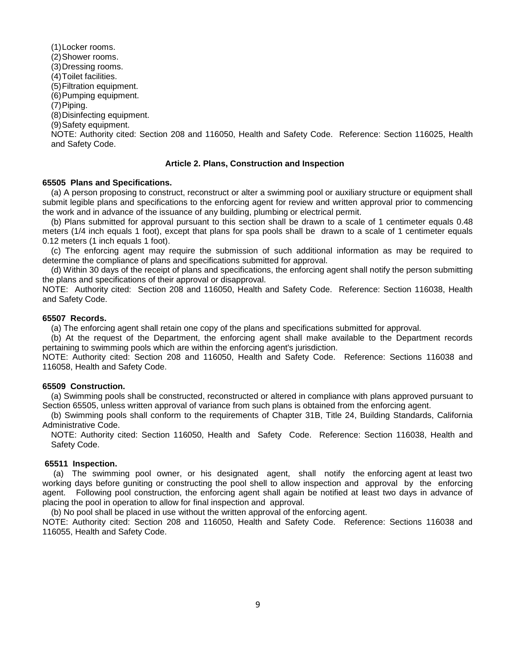(1)Locker rooms. (2)Shower rooms. (3)Dressing rooms. (4)Toilet facilities. (5)Filtration equipment. (6)Pumping equipment. (7)Piping. (8)Disinfecting equipment. (9)Safety equipment. NOTE: Authority cited: Section 208 and 116050, Health and Safety Code. Reference: Section 116025, Health and Safety Code.

# **Article 2. Plans, Construction and Inspection**

#### **65505 Plans and Specifications.**

(a) A person proposing to construct, reconstruct or alter a swimming pool or auxiliary structure or equipment shall submit legible plans and specifications to the enforcing agent for review and written approval prior to commencing the work and in advance of the issuance of any building, plumbing or electrical permit.

(b) Plans submitted for approval pursuant to this section shall be drawn to a scale of 1 centimeter equals 0.48 meters (1/4 inch equals 1 foot), except that plans for spa pools shall be drawn to a scale of 1 centimeter equals 0.12 meters (1 inch equals 1 foot).

(c) The enforcing agent may require the submission of such additional information as may be required to determine the compliance of plans and specifications submitted for approval.

(d) Within 30 days of the receipt of plans and specifications, the enforcing agent shall notify the person submitting the plans and specifications of their approval or disapproval.

NOTE: Authority cited: Section 208 and 116050, Health and Safety Code. Reference: Section 116038, Health and Safety Code.

#### **65507 Records.**

(a) The enforcing agent shall retain one copy of the plans and specifications submitted for approval.

(b) At the request of the Department, the enforcing agent shall make available to the Department records pertaining to swimming pools which are within the enforcing agent's jurisdiction.

NOTE: Authority cited: Section 208 and 116050, Health and Safety Code. Reference: Sections 116038 and 116058, Health and Safety Code.

#### **65509 Construction.**

(a) Swimming pools shall be constructed, reconstructed or altered in compliance with plans approved pursuant to Section 65505, unless written approval of variance from such plans is obtained from the enforcing agent.

(b) Swimming pools shall conform to the requirements of Chapter 31B, Title 24, Building Standards, California Administrative Code.

NOTE: Authority cited: Section 116050, Health and Safety Code. Reference: Section 116038, Health and Safety Code.

#### **65511 Inspection.**

(a) The swimming pool owner, or his designated agent, shall notify the enforcing agent at least two working days before guniting or constructing the pool shell to allow inspection and approval by the enforcing agent. Following pool construction, the enforcing agent shall again be notified at least two days in advance of placing the pool in operation to allow for final inspection and approval.

(b) No pool shall be placed in use without the written approval of the enforcing agent.

NOTE: Authority cited: Section 208 and 116050, Health and Safety Code. Reference: Sections 116038 and 116055, Health and Safety Code.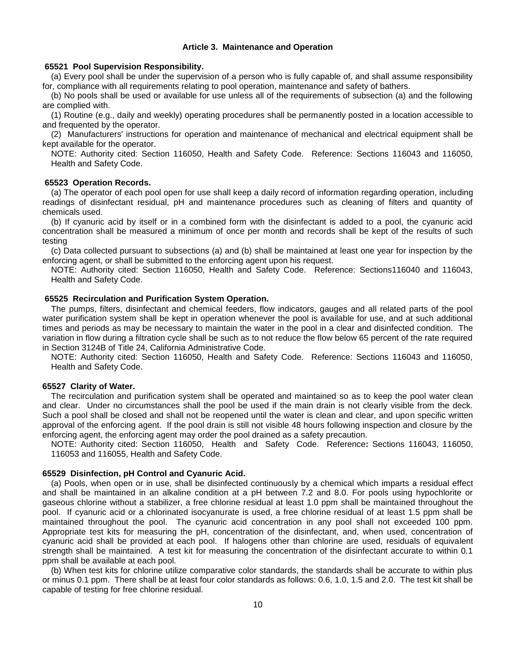#### **Article 3. Maintenance and Operation**

#### **65521 Pool Supervision Responsibility.**

(a) Every pool shall be under the supervision of a person who is fully capable of, and shall assume responsibility for, compliance with all requirements relating to pool operation, maintenance and safety of bathers.

(b) No pools shall be used or available for use unless all of the requirements of subsection (a) and the following are complied with.

(1) Routine (e.g., daily and weekly) operating procedures shall be permanently posted in a location accessible to and frequented by the operator.

(2) Manufacturers' instructions for operation and maintenance of mechanical and electrical equipment shall be kept available for the operator.

NOTE: Authority cited: Section 116050, Health and Safety Code. Reference: Sections 116043 and 116050, Health and Safety Code.

#### **65523 Operation Records.**

(a) The operator of each pool open for use shall keep a daily record of information regarding operation, including readings of disinfectant residual, pH and maintenance procedures such as cleaning of filters and quantity of chemicals used.

(b) If cyanuric acid by itself or in a combined form with the disinfectant is added to a pool, the cyanuric acid concentration shall be measured a minimum of once per month and records shall be kept of the results of such testing

(c) Data collected pursuant to subsections (a) and (b) shall be maintained at least one year for inspection by the enforcing agent, or shall be submitted to the enforcing agent upon his request.

NOTE: Authority cited: Section 116050, Health and Safety Code. Reference: Sections116040 and 116043, Health and Safety Code.

#### **65525 Recirculation and Purification System Operation.**

The pumps, filters, disinfectant and chemical feeders, flow indicators, gauges and all related parts of the pool water purification system shall be kept in operation whenever the pool is available for use, and at such additional times and periods as may be necessary to maintain the water in the pool in a clear and disinfected condition. The variation in flow during a filtration cycle shall be such as to not reduce the flow below 65 percent of the rate required in Section 3124B of Title 24, California Administrative Code.

NOTE: Authority cited: Section 116050, Health and Safety Code. Reference: Sections 116043 and 116050, Health and Safety Code.

#### **65527 Clarity of Water.**

The recirculation and purification system shall be operated and maintained so as to keep the pool water clean and clear. Under no circumstances shall the pool be used if the main drain is not clearly visible from the deck. Such a pool shall be closed and shall not be reopened until the water is clean and clear, and upon specific written approval of the enforcing agent. If the pool drain is still not visible 48 hours following inspection and closure by the enforcing agent, the enforcing agent may order the pool drained as a safety precaution.

NOTE: Authority cited: Section 116050,Health and Safety Code. Reference**:** Sections 116043, 116050, 116053 and 116055, Health and Safety Code.

#### **65529 Disinfection, pH Control and Cyanuric Acid.**

(a) Pools, when open or in use, shall be disinfected continuously by a chemical which imparts a residual effect and shall be maintained in an alkaline condition at a pH between 7.2 and 8.0. For pools using hypochlorite or gaseous chlorine without a stabilizer, a free chlorine residual at least 1.0 ppm shall be maintained throughout the pool. If cyanuric acid or a chlorinated isocyanurate is used, a free chlorine residual of at least 1.5 ppm shall be maintained throughout the pool. The cyanuric acid concentration in any pool shall not exceeded 100 ppm. Appropriate test kits for measuring the pH, concentration of the disinfectant, and, when used, concentration of cyanuric acid shall be provided at each pool. If halogens other than chlorine are used, residuals of equivalent strength shall be maintained. A test kit for measuring the concentration of the disinfectant accurate to within 0.1 ppm shall be available at each pool.

(b) When test kits for chlorine utilize comparative color standards, the standards shall be accurate to within plus or minus 0.1 ppm. There shall be at least four color standards as follows: 0.6, 1.0, 1.5 and 2.0. The test kit shall be capable of testing for free chlorine residual.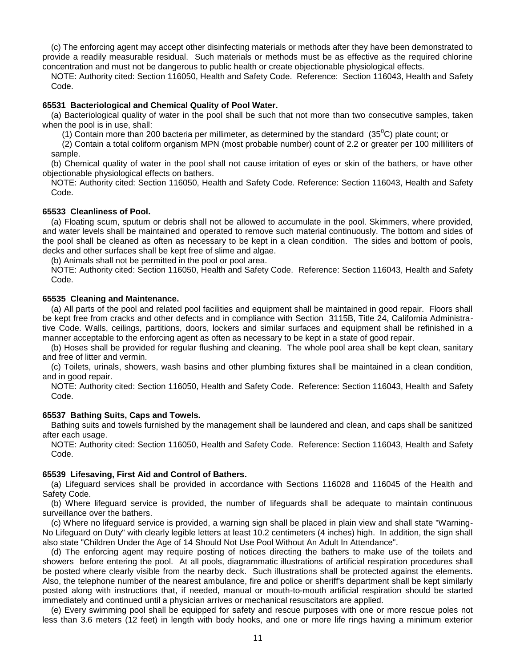(c) The enforcing agent may accept other disinfecting materials or methods after they have been demonstrated to provide a readily measurable residual. Such materials or methods must be as effective as the required chlorine concentration and must not be dangerous to public health or create objectionable physiological effects.

NOTE: Authority cited: Section 116050, Health and Safety Code. Reference: Section 116043, Health and Safety Code.

#### **65531 Bacteriological and Chemical Quality of Pool Water.**

(a) Bacteriological quality of water in the pool shall be such that not more than two consecutive samples, taken when the pool is in use, shall:

(1) Contain more than 200 bacteria per millimeter, as determined by the standard (35 $^{\circ}$ C) plate count; or

(2) Contain a total coliform organism MPN (most probable number) count of 2.2 or greater per 100 milliliters of sample.

(b) Chemical quality of water in the pool shall not cause irritation of eyes or skin of the bathers, or have other objectionable physiological effects on bathers.

NOTE: Authority cited: Section 116050, Health and Safety Code. Reference: Section 116043, Health and Safety Code.

#### **65533 Cleanliness of Pool.**

(a) Floating scum, sputum or debris shall not be allowed to accumulate in the pool. Skimmers, where provided, and water levels shall be maintained and operated to remove such material continuously. The bottom and sides of the pool shall be cleaned as often as necessary to be kept in a clean condition. The sides and bottom of pools, decks and other surfaces shall be kept free of slime and algae.

(b) Animals shall not be permitted in the pool or pool area.

NOTE: Authority cited: Section 116050, Health and Safety Code. Reference: Section 116043, Health and Safety Code.

### **65535 Cleaning and Maintenance.**

(a) All parts of the pool and related pool facilities and equipment shall be maintained in good repair. Floors shall be kept free from cracks and other defects and in compliance with Section 3115B, Title 24, California Administrative Code. Walls, ceilings, partitions, doors, lockers and similar surfaces and equipment shall be refinished in a manner acceptable to the enforcing agent as often as necessary to be kept in a state of good repair.

(b) Hoses shall be provided for regular flushing and cleaning. The whole pool area shall be kept clean, sanitary and free of litter and vermin.

(c) Toilets, urinals, showers, wash basins and other plumbing fixtures shall be maintained in a clean condition, and in good repair.

NOTE: Authority cited: Section 116050, Health and Safety Code. Reference: Section 116043, Health and Safety Code.

#### **65537 Bathing Suits, Caps and Towels.**

Bathing suits and towels furnished by the management shall be laundered and clean, and caps shall be sanitized after each usage.

NOTE: Authority cited: Section 116050, Health and Safety Code. Reference: Section 116043, Health and Safety Code.

# **65539 Lifesaving, First Aid and Control of Bathers.**

(a) Lifeguard services shall be provided in accordance with Sections 116028 and 116045 of the Health and Safety Code.

(b) Where lifeguard service is provided, the number of lifeguards shall be adequate to maintain continuous surveillance over the bathers.

(c) Where no lifeguard service is provided, a warning sign shall be placed in plain view and shall state "Warning-No Lifeguard on Duty" with clearly legible letters at least 10.2 centimeters (4 inches) high. In addition, the sign shall also state "Children Under the Age of 14 Should Not Use Pool Without An Adult In Attendance".

(d) The enforcing agent may require posting of notices directing the bathers to make use of the toilets and showers before entering the pool. At all pools, diagrammatic illustrations of artificial respiration procedures shall be posted where clearly visible from the nearby deck. Such illustrations shall be protected against the elements. Also, the telephone number of the nearest ambulance, fire and police or sheriff's department shall be kept similarly posted along with instructions that, if needed, manual or mouth-to-mouth artificial respiration should be started immediately and continued until a physician arrives or mechanical resuscitators are applied.

(e) Every swimming pool shall be equipped for safety and rescue purposes with one or more rescue poles not less than 3.6 meters (12 feet) in length with body hooks, and one or more life rings having a minimum exterior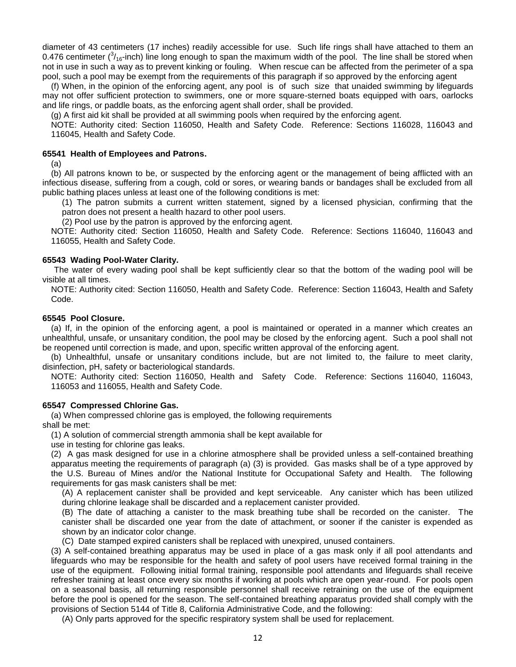diameter of 43 centimeters (17 inches) readily accessible for use. Such life rings shall have attached to them an 0.476 centimeter  $(3/16$ -inch) line long enough to span the maximum width of the pool. The line shall be stored when not in use in such a way as to prevent kinking or fouling. When rescue can be affected from the perimeter of a spa pool, such a pool may be exempt from the requirements of this paragraph if so approved by the enforcing agent

(f) When, in the opinion of the enforcing agent, any pool is of such size that unaided swimming by lifeguards may not offer sufficient protection to swimmers, one or more square-sterned boats equipped with oars, oarlocks and life rings, or paddle boats, as the enforcing agent shall order, shall be provided.

(g) A first aid kit shall be provided at all swimming pools when required by the enforcing agent.

NOTE: Authority cited: Section 116050, Health and Safety Code. Reference: Sections 116028, 116043 and 116045, Health and Safety Code.

#### **65541 Health of Employees and Patrons.**

(a)

(b) All patrons known to be, or suspected by the enforcing agent or the management of being afflicted with an infectious disease, suffering from a cough, cold or sores, or wearing bands or bandages shall be excluded from all public bathing places unless at least one of the following conditions is met:

(1) The patron submits a current written statement, signed by a licensed physician, confirming that the patron does not present a health hazard to other pool users.

(2) Pool use by the patron is approved by the enforcing agent.

NOTE: Authority cited: Section 116050, Health and Safety Code. Reference: Sections 116040, 116043 and 116055, Health and Safety Code.

# **65543 Wading Pool-Water Clarity.**

 The water of every wading pool shall be kept sufficiently clear so that the bottom of the wading pool will be visible at all times.

NOTE: Authority cited: Section 116050, Health and Safety Code. Reference: Section 116043, Health and Safety Code.

#### **65545 Pool Closure.**

(a) If, in the opinion of the enforcing agent, a pool is maintained or operated in a manner which creates an unhealthful, unsafe, or unsanitary condition, the pool may be closed by the enforcing agent. Such a pool shall not be reopened until correction is made, and upon, specific written approval of the enforcing agent.

(b) Unhealthful, unsafe or unsanitary conditions include, but are not limited to, the failure to meet clarity, disinfection, pH, safety or bacteriological standards.

NOTE: Authority cited: Section 116050, Health and Safety Code. Reference: Sections 116040, 116043, 116053 and 116055, Health and Safety Code.

#### **65547 Compressed Chlorine Gas.**

(a) When compressed chlorine gas is employed, the following requirements

shall be met:

(1) A solution of commercial strength ammonia shall be kept available for

use in testing for chlorine gas leaks.

(2) A gas mask designed for use in a chlorine atmosphere shall be provided unless a self-contained breathing apparatus meeting the requirements of paragraph (a) (3) is provided. Gas masks shall be of a type approved by the U.S. Bureau of Mines and/or the National Institute for Occupational Safety and Health. The following requirements for gas mask canisters shall be met:

(A) A replacement canister shall be provided and kept serviceable. Any canister which has been utilized during chlorine leakage shall be discarded and a replacement canister provided.

(B) The date of attaching a canister to the mask breathing tube shall be recorded on the canister. The canister shall be discarded one year from the date of attachment, or sooner if the canister is expended as shown by an indicator color change.

(C) Date stamped expired canisters shall be replaced with unexpired, unused containers.

(3) A self-contained breathing apparatus may be used in place of a gas mask only if all pool attendants and lifeguards who may be responsible for the health and safety of pool users have received formal training in the use of the equipment. Following initial formal training, responsible pool attendants and lifeguards shall receive refresher training at least once every six months if working at pools which are open year-round. For pools open on a seasonal basis, all returning responsible personnel shall receive retraining on the use of the equipment before the pool is opened for the season. The self-contained breathing apparatus provided shall comply with the provisions of Section 5144 of Title 8, California Administrative Code, and the following:

(A) Only parts approved for the specific respiratory system shall be used for replacement.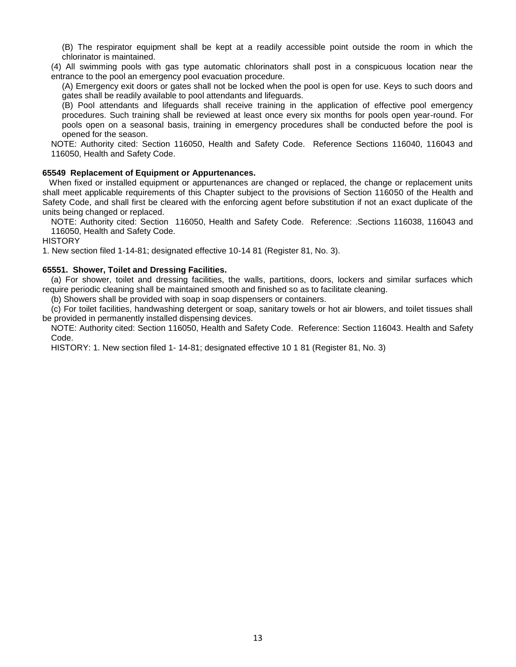(B) The respirator equipment shall be kept at a readily accessible point outside the room in which the chlorinator is maintained.

(4) All swimming pools with gas type automatic chlorinators shall post in a conspicuous location near the entrance to the pool an emergency pool evacuation procedure.

(A) Emergency exit doors or gates shall not be locked when the pool is open for use. Keys to such doors and gates shall be readily available to pool attendants and lifeguards.

(B) Pool attendants and lifeguards shall receive training in the application of effective pool emergency procedures. Such training shall be reviewed at least once every six months for pools open year-round. For pools open on a seasonal basis, training in emergency procedures shall be conducted before the pool is opened for the season.

NOTE: Authority cited: Section 116050, Health and Safety Code. Reference Sections 116040, 116043 and 116050, Health and Safety Code.

# **65549 Replacement of Equipment or Appurtenances.**

When fixed or installed equipment or appurtenances are changed or replaced, the change or replacement units shall meet applicable requirements of this Chapter subject to the provisions of Section 116050 of the Health and Safety Code, and shall first be cleared with the enforcing agent before substitution if not an exact duplicate of the units being changed or replaced.

NOTE: Authority cited: Section 116050, Health and Safety Code. Reference: .Sections 116038, 116043 and 116050, Health and Safety Code.

**HISTORY** 

1. New section filed 1-14-81; designated effective 10-14 81 (Register 81, No. 3).

#### **65551. Shower, Toilet and Dressing Facilities.**

(a) For shower, toilet and dressing facilities, the walls, partitions, doors, lockers and similar surfaces which require periodic cleaning shall be maintained smooth and finished so as to facilitate cleaning.

(b) Showers shall be provided with soap in soap dispensers or containers.

(c) For toilet facilities, handwashing detergent or soap, sanitary towels or hot air blowers, and toilet tissues shall be provided in permanently installed dispensing devices.

NOTE: Authority cited: Section 116050, Health and Safety Code. Reference: Section 116043. Health and Safety Code.

HISTORY: 1. New section filed 1- 14-81; designated effective 10 1 81 (Register 81, No. 3)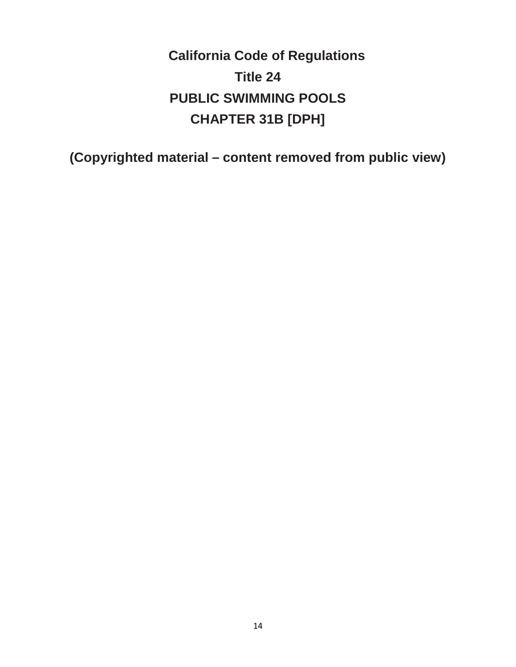# **California Code of Regulations Title 24 PUBLIC SWIMMING POOLS CHAPTER 31B [DPH]**

**(Copyrighted material – content removed from public view)**